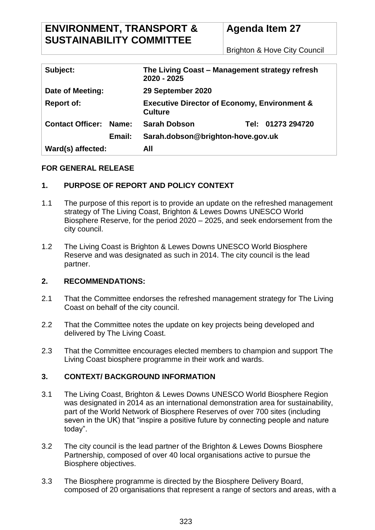# **ENVIRONMENT, TRANSPORT & SUSTAINABILITY COMMITTEE**

# **Agenda Item 27**

Brighton & Hove City Council

| Subject:                      | The Living Coast – Management strategy refresh<br>2020 - 2025             |
|-------------------------------|---------------------------------------------------------------------------|
| Date of Meeting:              | 29 September 2020                                                         |
| <b>Report of:</b>             | <b>Executive Director of Economy, Environment &amp;</b><br><b>Culture</b> |
| <b>Contact Officer: Name:</b> | Tel: 01273 294720<br><b>Sarah Dobson</b>                                  |
| Email:                        | Sarah.dobson@brighton-hove.gov.uk                                         |
| Ward(s) affected:             | All                                                                       |

### **FOR GENERAL RELEASE**

## **1. PURPOSE OF REPORT AND POLICY CONTEXT**

- 1.1 The purpose of this report is to provide an update on the refreshed management strategy of The Living Coast, Brighton & Lewes Downs UNESCO World Biosphere Reserve, for the period 2020 – 2025, and seek endorsement from the city council.
- 1.2 The Living Coast is Brighton & Lewes Downs UNESCO World Biosphere Reserve and was designated as such in 2014. The city council is the lead partner.

### **2. RECOMMENDATIONS:**

- 2.1 That the Committee endorses the refreshed management strategy for The Living Coast on behalf of the city council.
- 2.2 That the Committee notes the update on key projects being developed and delivered by The Living Coast.
- 2.3 That the Committee encourages elected members to champion and support The Living Coast biosphere programme in their work and wards.

### **3. CONTEXT/ BACKGROUND INFORMATION**

- 3.1 The Living Coast, Brighton & Lewes Downs UNESCO World Biosphere Region was designated in 2014 as an international demonstration area for sustainability, part of the World Network of Biosphere Reserves of over 700 sites (including seven in the UK) that "inspire a positive future by connecting people and nature today".
- 3.2 The city council is the lead partner of the Brighton & Lewes Downs Biosphere Partnership, composed of over 40 local organisations active to pursue the Biosphere objectives.
- 3.3 The Biosphere programme is directed by the Biosphere Delivery Board, composed of 20 organisations that represent a range of sectors and areas, with a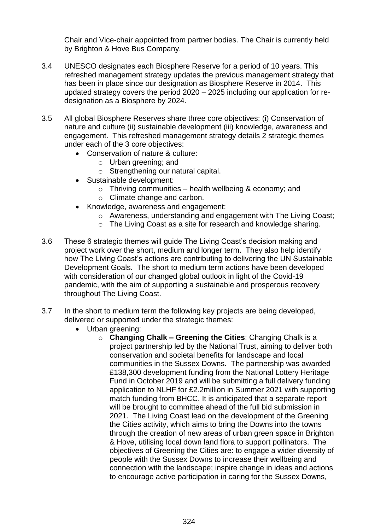Chair and Vice-chair appointed from partner bodies. The Chair is currently held by Brighton & Hove Bus Company.

- 3.4 UNESCO designates each Biosphere Reserve for a period of 10 years. This refreshed management strategy updates the previous management strategy that has been in place since our designation as Biosphere Reserve in 2014. This updated strategy covers the period 2020 – 2025 including our application for redesignation as a Biosphere by 2024.
- 3.5 All global Biosphere Reserves share three core objectives: (i) Conservation of nature and culture (ii) sustainable development (iii) knowledge, awareness and engagement. This refreshed management strategy details 2 strategic themes under each of the 3 core objectives:
	- Conservation of nature & culture:
		- o Urban greening; and
		- o Strengthening our natural capital.
	- Sustainable development:
		- $\circ$  Thriving communities health wellbeing & economy; and
		- o Climate change and carbon.
	- Knowledge, awareness and engagement:
		- o Awareness, understanding and engagement with The Living Coast;
		- o The Living Coast as a site for research and knowledge sharing.
- 3.6 These 6 strategic themes will guide The Living Coast's decision making and project work over the short, medium and longer term. They also help identify how The Living Coast's actions are contributing to delivering the UN Sustainable Development Goals. The short to medium term actions have been developed with consideration of our changed global outlook in light of the Covid-19 pandemic, with the aim of supporting a sustainable and prosperous recovery throughout The Living Coast.
- 3.7 In the short to medium term the following key projects are being developed, delivered or supported under the strategic themes:
	- Urban greening:
		- o **Changing Chalk – Greening the Cities**: Changing Chalk is a project partnership led by the National Trust, aiming to deliver both conservation and societal benefits for landscape and local communities in the Sussex Downs. The partnership was awarded £138,300 development funding from the National Lottery Heritage Fund in October 2019 and will be submitting a full delivery funding application to NLHF for £2.2million in Summer 2021 with supporting match funding from BHCC. It is anticipated that a separate report will be brought to committee ahead of the full bid submission in 2021. The Living Coast lead on the development of the Greening the Cities activity, which aims to bring the Downs into the towns through the creation of new areas of urban green space in Brighton & Hove, utilising local down land flora to support pollinators. The objectives of Greening the Cities are: to engage a wider diversity of people with the Sussex Downs to increase their wellbeing and connection with the landscape; inspire change in ideas and actions to encourage active participation in caring for the Sussex Downs,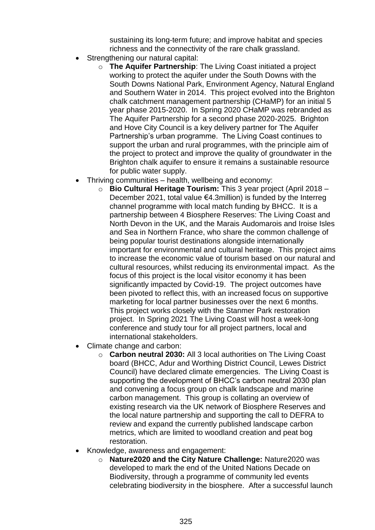sustaining its long-term future; and improve habitat and species richness and the connectivity of the rare chalk grassland.

- Strengthening our natural capital:
	- o **The Aquifer Partnership**: The Living Coast initiated a project working to protect the aquifer under the South Downs with the South Downs National Park, Environment Agency, Natural England and Southern Water in 2014. This project evolved into the Brighton chalk catchment management partnership (CHaMP) for an initial 5 year phase 2015-2020. In Spring 2020 CHaMP was rebranded as The Aquifer Partnership for a second phase 2020-2025. Brighton and Hove City Council is a key delivery partner for The Aquifer Partnership's urban programme. The Living Coast continues to support the urban and rural programmes, with the principle aim of the project to protect and improve the quality of groundwater in the Brighton chalk aquifer to ensure it remains a sustainable resource for public water supply.
- Thriving communities health, wellbeing and economy:
	- o **Bio Cultural Heritage Tourism:** This 3 year project (April 2018 December 2021, total value €4.3million) is funded by the Interreg channel programme with local match funding by BHCC. It is a partnership between 4 Biosphere Reserves: The Living Coast and North Devon in the UK, and the Marais Audomarois and Iroise Isles and Sea in Northern France, who share the common challenge of being popular tourist destinations alongside internationally important for environmental and cultural heritage. This project aims to increase the economic value of tourism based on our natural and cultural resources, whilst reducing its environmental impact. As the focus of this project is the local visitor economy it has been significantly impacted by Covid-19. The project outcomes have been pivoted to reflect this, with an increased focus on supportive marketing for local partner businesses over the next 6 months. This project works closely with the Stanmer Park restoration project. In Spring 2021 The Living Coast will host a week-long conference and study tour for all project partners, local and international stakeholders.
- Climate change and carbon:
	- o **Carbon neutral 2030:** All 3 local authorities on The Living Coast board (BHCC, Adur and Worthing District Council, Lewes District Council) have declared climate emergencies. The Living Coast is supporting the development of BHCC's carbon neutral 2030 plan and convening a focus group on chalk landscape and marine carbon management. This group is collating an overview of existing research via the UK network of Biosphere Reserves and the local nature partnership and supporting the call to DEFRA to review and expand the currently published landscape carbon metrics, which are limited to woodland creation and peat bog restoration.
- Knowledge, awareness and engagement:
	- o **Nature2020 and the City Nature Challenge:** Nature2020 was developed to mark the end of the United Nations Decade on Biodiversity, through a programme of community led events celebrating biodiversity in the biosphere. After a successful launch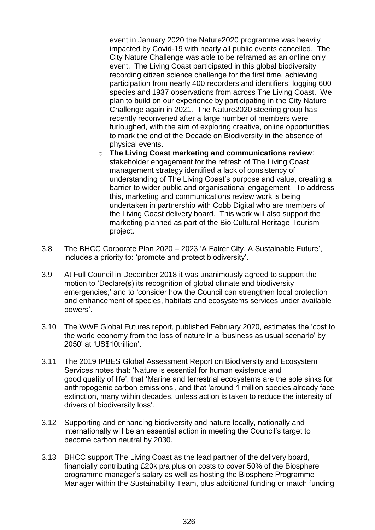event in January 2020 the Nature2020 programme was heavily impacted by Covid-19 with nearly all public events cancelled. The City Nature Challenge was able to be reframed as an online only event. The Living Coast participated in this global biodiversity recording citizen science challenge for the first time, achieving participation from nearly 400 recorders and identifiers, logging 600 species and 1937 observations from across The Living Coast. We plan to build on our experience by participating in the City Nature Challenge again in 2021. The Nature2020 steering group has recently reconvened after a large number of members were furloughed, with the aim of exploring creative, online opportunities to mark the end of the Decade on Biodiversity in the absence of physical events.

- o **The Living Coast marketing and communications review**: stakeholder engagement for the refresh of The Living Coast management strategy identified a lack of consistency of understanding of The Living Coast's purpose and value, creating a barrier to wider public and organisational engagement. To address this, marketing and communications review work is being undertaken in partnership with Cobb Digital who are members of the Living Coast delivery board. This work will also support the marketing planned as part of the Bio Cultural Heritage Tourism project.
- 3.8 The BHCC Corporate Plan 2020 2023 'A Fairer City, A Sustainable Future', includes a priority to: 'promote and protect biodiversity'.
- 3.9 At Full Council in December 2018 it was unanimously agreed to support the motion to 'Declare(s) its recognition of global climate and biodiversity emergencies;' and to 'consider how the Council can strengthen local protection and enhancement of species, habitats and ecosystems services under available powers'.
- 3.10 The WWF Global Futures report, published February 2020, estimates the 'cost to the world economy from the loss of nature in a 'business as usual scenario' by 2050' at 'US\$10trillion'.
- 3.11 The 2019 IPBES Global Assessment Report on Biodiversity and Ecosystem Services notes that: 'Nature is essential for human existence and good quality of life', that 'Marine and terrestrial ecosystems are the sole sinks for anthropogenic carbon emissions', and that 'around 1 million species already face extinction, many within decades, unless action is taken to reduce the intensity of drivers of biodiversity loss'.
- 3.12 Supporting and enhancing biodiversity and nature locally, nationally and internationally will be an essential action in meeting the Council's target to become carbon neutral by 2030.
- 3.13 BHCC support The Living Coast as the lead partner of the delivery board, financially contributing £20k p/a plus on costs to cover 50% of the Biosphere programme manager's salary as well as hosting the Biosphere Programme Manager within the Sustainability Team, plus additional funding or match funding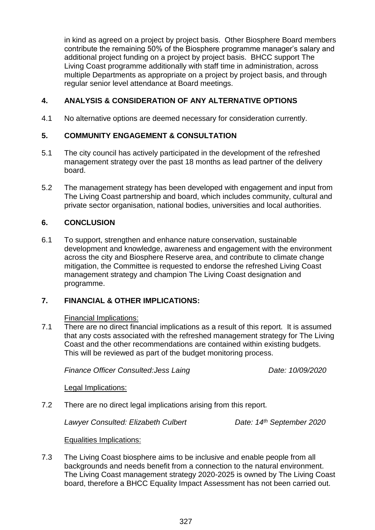in kind as agreed on a project by project basis. Other Biosphere Board members contribute the remaining 50% of the Biosphere programme manager's salary and additional project funding on a project by project basis. BHCC support The Living Coast programme additionally with staff time in administration, across multiple Departments as appropriate on a project by project basis, and through regular senior level attendance at Board meetings.

### **4. ANALYSIS & CONSIDERATION OF ANY ALTERNATIVE OPTIONS**

4.1 No alternative options are deemed necessary for consideration currently.

### **5. COMMUNITY ENGAGEMENT & CONSULTATION**

- 5.1 The city council has actively participated in the development of the refreshed management strategy over the past 18 months as lead partner of the delivery board.
- 5.2 The management strategy has been developed with engagement and input from The Living Coast partnership and board, which includes community, cultural and private sector organisation, national bodies, universities and local authorities.

#### **6. CONCLUSION**

6.1 To support, strengthen and enhance nature conservation, sustainable development and knowledge, awareness and engagement with the environment across the city and Biosphere Reserve area, and contribute to climate change mitigation, the Committee is requested to endorse the refreshed Living Coast management strategy and champion The Living Coast designation and programme.

### **7. FINANCIAL & OTHER IMPLICATIONS:**

Financial Implications:

7.1 There are no direct financial implications as a result of this report. It is assumed that any costs associated with the refreshed management strategy for The Living Coast and the other recommendations are contained within existing budgets. This will be reviewed as part of the budget monitoring process.

*Finance Officer Consulted: Jess Laing Date: 10/09/2020* 

Legal Implications:

7.2 There are no direct legal implications arising from this report.

*Lawyer Consulted: Elizabeth Culbert Date: 14th September 2020*

Equalities Implications:

7.3 The Living Coast biosphere aims to be inclusive and enable people from all backgrounds and needs benefit from a connection to the natural environment. The Living Coast management strategy 2020-2025 is owned by The Living Coast board, therefore a BHCC Equality Impact Assessment has not been carried out.